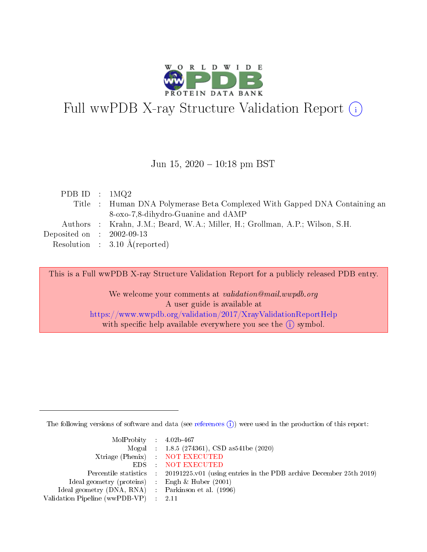

# Full wwPDB X-ray Structure Validation Report (i)

#### Jun 15,  $2020 - 10:18$  pm BST

| PDB ID : $1\text{MQ}2$               |                                                                              |
|--------------------------------------|------------------------------------------------------------------------------|
|                                      | Title : Human DNA Polymerase Beta Complexed With Gapped DNA Containing an    |
|                                      | 8-oxo-7,8-dihydro-Guanine and dAMP                                           |
|                                      | Authors : Krahn, J.M.; Beard, W.A.; Miller, H.; Grollman, A.P.; Wilson, S.H. |
| Deposited on $\therefore$ 2002-09-13 |                                                                              |
|                                      | Resolution : $3.10 \text{ Å}$ (reported)                                     |

This is a Full wwPDB X-ray Structure Validation Report for a publicly released PDB entry.

We welcome your comments at validation@mail.wwpdb.org A user guide is available at <https://www.wwpdb.org/validation/2017/XrayValidationReportHelp> with specific help available everywhere you see the  $(i)$  symbol.

The following versions of software and data (see [references](https://www.wwpdb.org/validation/2017/XrayValidationReportHelp#references)  $(i)$ ) were used in the production of this report:

| MolProbity : $4.02b-467$                            |                                                                                            |
|-----------------------------------------------------|--------------------------------------------------------------------------------------------|
|                                                     | Mogul : 1.8.5 (274361), CSD as541be (2020)                                                 |
|                                                     | Xtriage (Phenix) NOT EXECUTED                                                              |
|                                                     | EDS : NOT EXECUTED                                                                         |
|                                                     | Percentile statistics : 20191225.v01 (using entries in the PDB archive December 25th 2019) |
| Ideal geometry (proteins) : Engh $\&$ Huber (2001)  |                                                                                            |
| Ideal geometry (DNA, RNA) : Parkinson et al. (1996) |                                                                                            |
| Validation Pipeline (wwPDB-VP) : 2.11               |                                                                                            |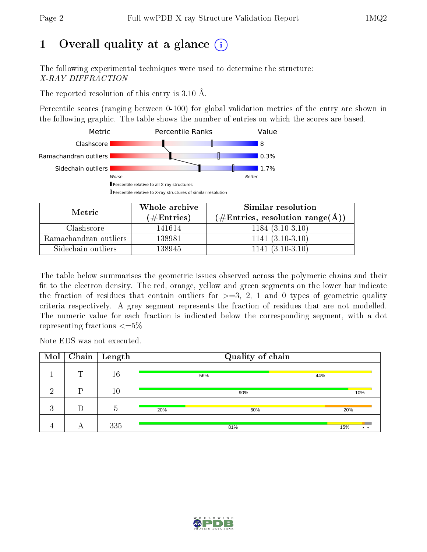## 1 [O](https://www.wwpdb.org/validation/2017/XrayValidationReportHelp#overall_quality)verall quality at a glance  $(i)$

The following experimental techniques were used to determine the structure: X-RAY DIFFRACTION

The reported resolution of this entry is 3.10 Å.

Percentile scores (ranging between 0-100) for global validation metrics of the entry are shown in the following graphic. The table shows the number of entries on which the scores are based.



| Metric                | Whole archive<br>$(\#Entries)$ | Similar resolution<br>$(\#\text{Entries}, \text{resolution range}(\textup{\AA}))$ |
|-----------------------|--------------------------------|-----------------------------------------------------------------------------------|
| Clashscore            | 141614                         | $1184(3.10-3.10)$                                                                 |
| Ramachandran outliers | 138981                         | $1141(3.10-3.10)$                                                                 |
| Sidechain outliers    | 138945                         | $1141 (3.10 - 3.10)$                                                              |

The table below summarises the geometric issues observed across the polymeric chains and their fit to the electron density. The red, orange, yellow and green segments on the lower bar indicate the fraction of residues that contain outliers for  $\geq=3$ , 2, 1 and 0 types of geometric quality criteria respectively. A grey segment represents the fraction of residues that are not modelled. The numeric value for each fraction is indicated below the corresponding segment, with a dot representing fractions  $\leq=5\%$ 

Note EDS was not executed.

| Mol       |   | $\boxed{\text{Chain}}$ Length | Quality of chain |     |     |                            |
|-----------|---|-------------------------------|------------------|-----|-----|----------------------------|
|           | m | 16                            |                  | 56% | 44% |                            |
| $\Omega$  | D | 10                            |                  | 90% |     | 10%                        |
| ച<br>-e J | D | 5                             | 20%              | 60% |     | 20%                        |
| -4        |   | 335                           |                  | 81% |     | 15%<br>$\bullet$ $\bullet$ |

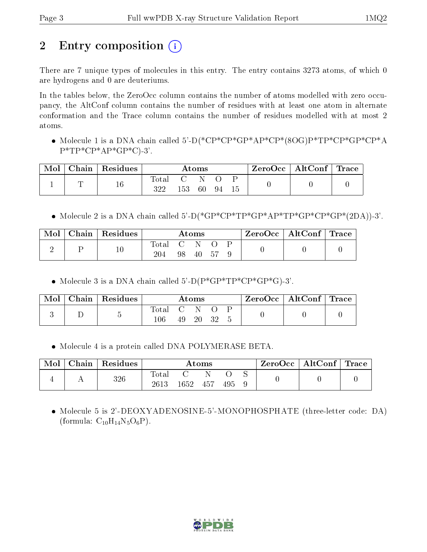## 2 Entry composition  $\left( \cdot \right)$

There are 7 unique types of molecules in this entry. The entry contains 3273 atoms, of which 0 are hydrogens and 0 are deuteriums.

In the tables below, the ZeroOcc column contains the number of atoms modelled with zero occupancy, the AltConf column contains the number of residues with at least one atom in alternate conformation and the Trace column contains the number of residues modelled with at most 2 atoms.

• Molecule 1 is a DNA chain called 5'-D(\*CP\*CP\*GP\*AP\*CP\*(8OG)P\*TP\*CP\*GP\*CP\*A  $P^*TP^*CP^*AP^*GP^*C$ -3'.

| Mol | Chain   Residues | Atoms              |                       |    |     |    | $\text{ZeroOcc} \mid \text{AltConf} \mid \text{Trace}$ |  |
|-----|------------------|--------------------|-----------------------|----|-----|----|--------------------------------------------------------|--|
|     | 16               | $\rm Total$<br>322 | $\blacksquare$<br>153 | 60 | -94 | 15 |                                                        |  |

• Molecule 2 is a DNA chain called  $5'-D$ (\* $GP*CP*TP*GP*AP*TP*GP*CP*CP*CP*(2DA)$ )-3'.

| Mol | $Chain   Residues$ | $\rm{Atoms}$ |                     |    | $\text{ZeroOcc}$   AltConf   Trace |  |  |  |
|-----|--------------------|--------------|---------------------|----|------------------------------------|--|--|--|
|     | $10\,$             | Total<br>204 | $\mathcal{C}$<br>98 | 40 |                                    |  |  |  |

• Molecule 3 is a DNA chain called  $5^{\prime}$ -D(P\*GP\*TP\*CP\*GP\*G)-3'.

| Mol | $\mid$ Chain $\mid$ Residues | Atoms        |                        |  | $ZeroOcc \mid AltConf \mid Trace$ |  |  |  |
|-----|------------------------------|--------------|------------------------|--|-----------------------------------|--|--|--|
|     |                              | Total<br>106 | $\overline{C}$ N<br>49 |  | 20 32                             |  |  |  |

• Molecule 4 is a protein called DNA POLYMERASE BETA.

| Mol | Chain | Residues | $\bm{\mathrm{Atoms}}$ |      |     |     |  | ZeroOcc | $\mid \mathrm{AltConf} \mid \mathrm{Trace} \mid$ |  |
|-----|-------|----------|-----------------------|------|-----|-----|--|---------|--------------------------------------------------|--|
|     |       | 326      | $\rm Total$<br>2613   | 1652 | 457 | 495 |  |         |                                                  |  |

 Molecule 5 is 2'-DEOXYADENOSINE-5'-MONOPHOSPHATE (three-letter code: DA) (formula:  $C_{10}H_{14}N_5O_6P$ ).

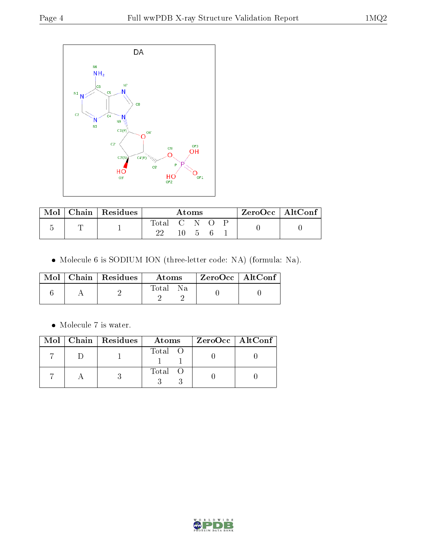

| Mol | Chain   Residues | Atoms     |    |          | $ZeroOcc \mid AltConf \mid$ |  |  |
|-----|------------------|-----------|----|----------|-----------------------------|--|--|
|     |                  | Total C N | 10 | $\Delta$ |                             |  |  |

Molecule 6 is SODIUM ION (three-letter code: NA) (formula: Na).

|  | $\text{Mol}$   Chain   Residues | Atoms        | $\mid$ ZeroOcc $\mid$ AltConf $\mid$ |  |
|--|---------------------------------|--------------|--------------------------------------|--|
|  |                                 | Na.<br>Total |                                      |  |

 $\bullet\,$  Molecule 7 is water.

|  | Mol   Chain   Residues | Atoms   | $ZeroOcc \   \ AltConf$ |
|--|------------------------|---------|-------------------------|
|  |                        | Total O |                         |
|  |                        | Total O |                         |

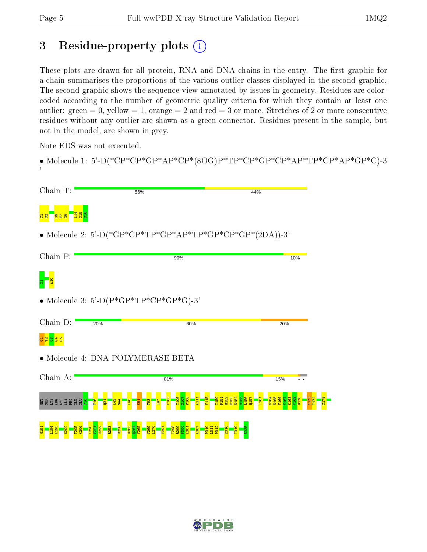## 3 Residue-property plots (i)

These plots are drawn for all protein, RNA and DNA chains in the entry. The first graphic for a chain summarises the proportions of the various outlier classes displayed in the second graphic. The second graphic shows the sequence view annotated by issues in geometry. Residues are colorcoded according to the number of geometric quality criteria for which they contain at least one outlier: green  $= 0$ , yellow  $= 1$ , orange  $= 2$  and red  $= 3$  or more. Stretches of 2 or more consecutive residues without any outlier are shown as a green connector. Residues present in the sample, but not in the model, are shown in grey.

Note EDS was not executed.

• Molecule 1: 5'-D(\*CP\*CP\*GP\*AP\*CP\*(8OG)P\*TP\*CP\*GP\*CP\*AP\*TP\*CP\*AP\*GP\*C)-3 '

| Chain T:                       | 56%                                                      | 44%            |
|--------------------------------|----------------------------------------------------------|----------------|
|                                |                                                          |                |
|                                | • Molecule 2: 5'-D(*GP*CP*TP*GP*AP*TP*GP*CP*GP*(2DA))-3' |                |
| Chain P:                       | 90%                                                      | 10%            |
|                                |                                                          |                |
|                                | • Molecule 3: 5'-D( $P*GP*TP*CP*GP*GP*G$ )-3'            |                |
| Chain D:                       | 20%<br>60%                                               | 20%            |
| <mark>ង ខ ឌ ឌ</mark>           |                                                          |                |
|                                | • Molecule 4: DNA POLYMERASE BETA                        |                |
| Chain A:                       | 81%                                                      | 15%            |
| <b>A R R R R S P R R R S P</b> |                                                          | <b>PR</b><br>Ř |
|                                |                                                          |                |

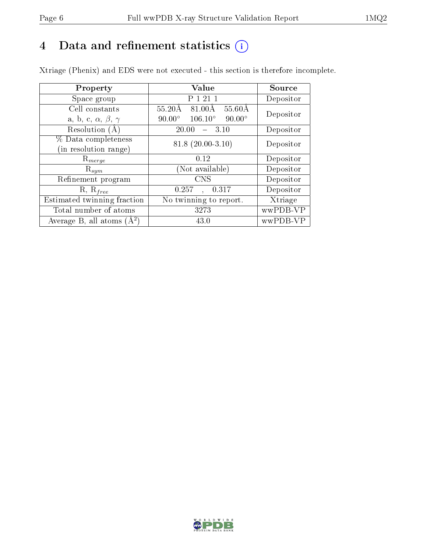## 4 Data and refinement statistics  $(i)$

Xtriage (Phenix) and EDS were not executed - this section is therefore incomplete.

| Property                               | Value                                              | Source    |  |
|----------------------------------------|----------------------------------------------------|-----------|--|
| Space group                            | P 1 21 1                                           | Depositor |  |
| Cell constants                         | $55.60\text{\AA}$<br>$55.20\text{\AA}$<br>81.00Å   | Depositor |  |
| a, b, c, $\alpha$ , $\beta$ , $\gamma$ | $106.10^{\circ}$<br>$90.00^\circ$<br>$90.00^\circ$ |           |  |
| Resolution (A)                         | 20.00<br>- 3.10                                    | Depositor |  |
| % Data completeness                    | $81.8(20.00-3.10)$                                 | Depositor |  |
| (in resolution range)                  |                                                    |           |  |
| $\mathrm{R}_{merge}$                   | 0.12                                               | Depositor |  |
| $\mathrm{R}_{sym}$                     | (Not available)                                    | Depositor |  |
| Refinement program                     | <b>CNS</b>                                         | Depositor |  |
| $R, R_{free}$                          | 0.257<br>0.317                                     | Depositor |  |
| Estimated twinning fraction            | $\overline{\text{No}}$ twinning to report.         | Xtriage   |  |
| Total number of atoms                  | 3273                                               | wwPDB-VP  |  |
| Average B, all atoms $(A^2)$           | 43.0                                               | wwPDB-VP  |  |

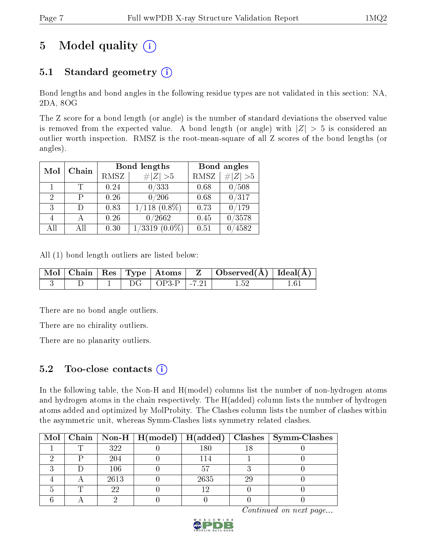## 5 Model quality  $(i)$

### 5.1 Standard geometry  $(i)$

Bond lengths and bond angles in the following residue types are not validated in this section: NA, 2DA, 8OG

The Z score for a bond length (or angle) is the number of standard deviations the observed value is removed from the expected value. A bond length (or angle) with  $|Z| > 5$  is considered an outlier worth inspection. RMSZ is the root-mean-square of all Z scores of the bond lengths (or angles).

|    |              |      | <b>Bond lengths</b> | Bond angles |             |
|----|--------------|------|---------------------|-------------|-------------|
|    | Chain<br>Mol |      | # $ Z >5$           | <b>RMSZ</b> | $\# Z  > 5$ |
|    |              | 0.24 | 0/333               | 0.68        | /508        |
| 2  | Р            | 0.26 | 0/206               | 0.68        | 0/317       |
| 3  | Ð            | 0.83 | $1/118$ $(0.8\%)$   | 0.73        | /179        |
|    |              | 0.26 | 0/2662              | 0.45        | 0/3578      |
| AĦ | All          | 0.30 | 1/3319<br>$(0.0\%)$ | 0.51        | 4582        |

All (1) bond length outliers are listed below:

|  |  |                          | $\mid$ Mol $\mid$ Chain $\mid$ Res $\mid$ Type $\mid$ Atoms $\mid$ $\mid$ Z $\mid$ Observed(Å) $\mid$ Ideal(Å) $\mid$ |  |
|--|--|--------------------------|-----------------------------------------------------------------------------------------------------------------------|--|
|  |  | $DG$   $OP3-P$   $-7.21$ | 1.52                                                                                                                  |  |

There are no bond angle outliers.

There are no chirality outliers.

There are no planarity outliers.

#### 5.2 Too-close contacts  $(i)$

In the following table, the Non-H and H(model) columns list the number of non-hydrogen atoms and hydrogen atoms in the chain respectively. The H(added) column lists the number of hydrogen atoms added and optimized by MolProbity. The Clashes column lists the number of clashes within the asymmetric unit, whereas Symm-Clashes lists symmetry related clashes.

|  |      |      |    | Mol   Chain   Non-H   H(model)   H(added)   Clashes   Symm-Clashes |
|--|------|------|----|--------------------------------------------------------------------|
|  | 322  | 180  |    |                                                                    |
|  | 204  | 14   |    |                                                                    |
|  | 106  |      |    |                                                                    |
|  | 2613 | 2635 | 2č |                                                                    |
|  | 22   | ⊢ດ   |    |                                                                    |
|  |      |      |    |                                                                    |

Continued on next page...

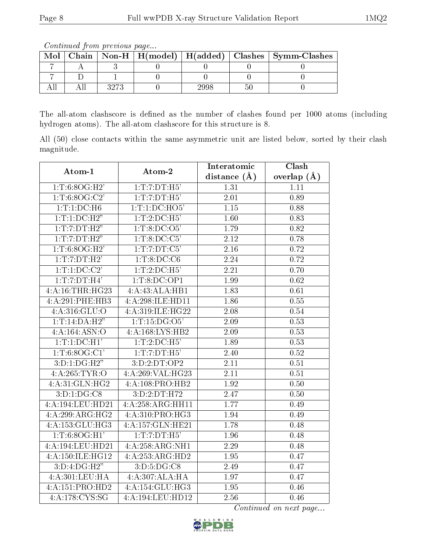Continued from previous page...

| Mol |  |     |     | Chain   Non-H   H(model)   H(added)   Clashes   Symm-Clashes |
|-----|--|-----|-----|--------------------------------------------------------------|
|     |  |     |     |                                                              |
|     |  |     |     |                                                              |
|     |  | 998 | ורי |                                                              |

The all-atom clashscore is defined as the number of clashes found per 1000 atoms (including hydrogen atoms). The all-atom clashscore for this structure is 8.

All (50) close contacts within the same asymmetric unit are listed below, sorted by their clash magnitude.

| Atom-1                      | Atom-2                       | Interatomic       | Clash         |
|-----------------------------|------------------------------|-------------------|---------------|
|                             |                              | distance $(A)$    | overlap $(A)$ |
| 1:T:6:8OG:H2'               | 1: T: 7: DT:H5'              | 1.31              | 1.11          |
| $1:\overline{T:6:8OG:C2'}$  | 1: T: 7: DT:H5'              | 2.01              | 0.89          |
| 1: T: 1: DC: H6             | 1:T:1:D C:H O5'              | 1.15              | 0.88          |
| 1: T: 1: DC: H2"            | 1: T: 2: DC:H5'              | 1.60              | 0.83          |
| 1:T:DT:H2"                  | 1:T:8:DC:O5'                 | 1.79              | 0.82          |
| 1:T:7:DT:H2"                | 1:T:8:DC:C5'                 | 2.12              | 0.78          |
| 1:T:6:8OG:H2'               | 1:T:7:DT:C5'                 | 2.16              | 0.72          |
| 1:T:7:DT:H2'                | 1: T: 8: DC: C6              | 2.24              | 0.72          |
| 1:T:1:DC:C2'                | 1: T: 2: DC: H5'             | $\overline{2.21}$ | 0.70          |
| 1:T:7:DT:H4'                | 1: T:8:DC:OP1                | 1.99              | 0.62          |
| 4:A:16:THR:HG23             | 4:A:43:ALA:HB1               | 1.83              | 0.61          |
| 4:A:291:PHE:HB3             | 4:A:298:ILE:HD11             | 1.86              | 0.55          |
| 4:A:316:GLU:O               | 4:A:319:ILE:HG22             | 2.08              | 0.54          |
| 1: T: 14:DA:H2"             | 1:T:15:DG:O5'                | 2.09              | 0.53          |
| 4:A:164:ASN:O               | 4:A:168:LYS:HB2              | 2.09              | 0.53          |
| 1:T:1:D C:H1'               | 1: T: 2: DC: H5'             | 1.89              | 0.53          |
| 1: T: 6: 8OG:C1'            | 1: T: 7: DT: H5'             | 2.40              | 0.52          |
| 3:D:1:DG:H2"                | 3:D:2:DT:OP2                 | 2.11              | 0.51          |
| 4:A:265:TYR:O               | 4:A:269:VAL:HG23             | 2.11              | 0.51          |
| 4:A:31:GLN:HG2              | 4:A:108:PRO:HB2              | 1.92              | 0.50          |
| 3: D: 1: DG: C8             | 3:D:2:DT:H72                 | 2.47              | 0.50          |
| 4:A:194:LEU:HD21            | 4:A:258:ARG:HH11             | 1.77              | 0.49          |
| 4:A:299:ARG:HG2             | 4:A:310:PRO:HG3              | 1.94              | 0.49          |
| 4:A:153:GLU:HG3             | 4:A:157:GLN:HE21             | 1.78              | 0.48          |
| 1: T: 6: 8OG:H1'            | 1: T: 7: DT:H5'              | 1.96              | 0.48          |
| 4:A:194:LEU:HD21            | 4:A:258:ARG:NH1              | 2.29              | 0.48          |
| 4:A:150:ILE:HG12            | 4:A:253:ARG:HD2              | 1.95              | 0.47          |
| 3:D:4:DG:H2"                | $3: D: 5: DG: \overline{CS}$ | 2.49              | 0.47          |
| 4: A:301:LEU:HA             | 4:A:307:ALA:HA               | 1.97              | 0.47          |
| 4:A:151:PRO:HD2             | 4:A:154:GLU:HG3              | 1.95              | 0.46          |
| $4:\overline{A:178:C}YS:SG$ | 4:A:194:LEU:HD12             | 2.56              | 0.46          |

Continued on next page...

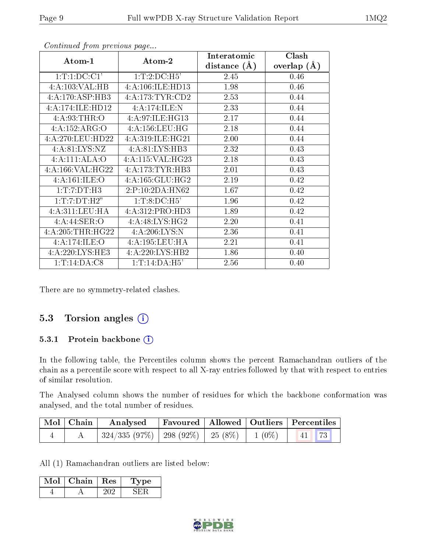| Atom-1            | Atom-2             | Interatomic      | Clash         |
|-------------------|--------------------|------------------|---------------|
|                   |                    | distance $(\AA)$ | overlap $(A)$ |
| 1: T: 1: DC: C1'  | 1: T: 2: DC: H5'   | 2.45             | 0.46          |
| 4:A:103:VAL:HB    | 4:A:106:ILE:HD13   | 1.98             | 0.46          |
| 4:A:170:ASP:HB3   | 4:A:173:TYR:CD2    | 2.53             | 0.44          |
| 4:A:174:ILE:HD12  | 4:A:174:ILE:N      | 2.33             | 0.44          |
| 4: A:93:THR:O     | 4: A:97: ILE: HG13 | 2.17             | 0.44          |
| 4:A:152:ARG:O     | 4: A: 156: LEU: HG | 2.18             | 0.44          |
| 4:A:270:LEU:HD22  | 4:A:319:ILE:HG21   | 2.00             | 0.44          |
| 4: A:81: LYS:NZ   | 4:A:81:LYS:HB3     | 2.32             | 0.43          |
| 4:A:111:ALA:O     | 4:A:115:VAL:HG23   | 2.18             | 0.43          |
| 4:A:166:VAL:H G22 | 4: A:173: TYR: HB3 | 2.01             | 0.43          |
| 4:A:161:ILE:O     | 4:A:165:GLU:HG2    | 2.19             | 0.42          |
| 1: T: 7: DT: H3   | 2:P:10:2DA:HN62    | 1.67             | 0.42          |
| 1:T:7:DT:H2"      | 1: T: 8: DC: H5'   | 1.96             | 0.42          |
| 4: A:311: LEU: HA | 4:A:312:PRO:HD3    | 1.89             | 0.42          |
| 4: A:44: SER:O    | 4: A:48: LYS:HG2   | 2.20             | 0.41          |
| 4:A:205:THR:HG22  | 4:A:206:LYS:N      | 2.36             | 0.41          |
| 4:A:174:ILE:O     | 4:A:195:LEU:HA     | 2.21             | 0.41          |
| 4:A:220:LYS:HE3   | 4:A:220:LYS:HB2    | 1.86             | 0.40          |
| 1:T:14:DA:C8      | 1: T: 14:DA:H5'    | 2.56             | 0.40          |

Continued from previous page...

There are no symmetry-related clashes.

#### 5.3 Torsion angles (i)

#### 5.3.1 Protein backbone (i)

In the following table, the Percentiles column shows the percent Ramachandran outliers of the chain as a percentile score with respect to all X-ray entries followed by that with respect to entries of similar resolution.

The Analysed column shows the number of residues for which the backbone conformation was analysed, and the total number of residues.

| $\mid$ Mol $\mid$ Chain $\mid$ | Analysed                                           |  | Favoured   Allowed   Outliers   Percentiles |
|--------------------------------|----------------------------------------------------|--|---------------------------------------------|
|                                | $324/335 (97\%)$   298 (92\%)   25 (8\%)   1 (0\%) |  | $\vert 41 \vert 73 \vert$                   |

All (1) Ramachandran outliers are listed below:

| Mol | Chain. | $\perp$ Res $\perp$ | vpe |
|-----|--------|---------------------|-----|
|     |        |                     |     |

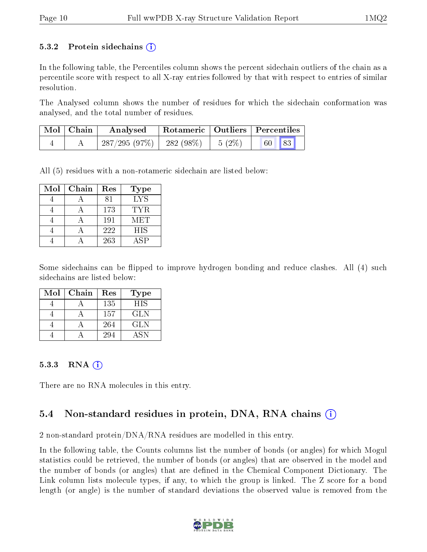#### 5.3.2 Protein sidechains  $\left( \widehat{\mathbf{i}} \right)$

In the following table, the Percentiles column shows the percent sidechain outliers of the chain as a percentile score with respect to all X-ray entries followed by that with respect to entries of similar resolution.

The Analysed column shows the number of residues for which the sidechain conformation was analysed, and the total number of residues.

| $\mid$ Mol $\mid$ Chain | Analysed                               | Rotameric   Outliers   Percentiles |       |
|-------------------------|----------------------------------------|------------------------------------|-------|
|                         | $287/295(97\%)$   282 (98\%)   5 (2\%) |                                    | 60 83 |

All (5) residues with a non-rotameric sidechain are listed below:

| Mol | Chain | Res | <b>Type</b> |
|-----|-------|-----|-------------|
|     |       | 81  | <b>LYS</b>  |
|     |       | 173 | TYR.        |
|     |       | 191 | MET         |
|     |       | 222 | <b>HIS</b>  |
|     |       | 263 | <b>ASP</b>  |

Some sidechains can be flipped to improve hydrogen bonding and reduce clashes. All (4) such sidechains are listed below:

| Mol | Chain | Res | <b>Type</b> |
|-----|-------|-----|-------------|
|     |       | 135 | <b>HIS</b>  |
|     |       | 157 | <b>GLN</b>  |
|     |       | 264 | GL N        |
|     |       | 294 | ASN         |

#### 5.3.3 RNA  $(i)$

There are no RNA molecules in this entry.

#### 5.4 Non-standard residues in protein, DNA, RNA chains (i)

2 non-standard protein/DNA/RNA residues are modelled in this entry.

In the following table, the Counts columns list the number of bonds (or angles) for which Mogul statistics could be retrieved, the number of bonds (or angles) that are observed in the model and the number of bonds (or angles) that are defined in the Chemical Component Dictionary. The Link column lists molecule types, if any, to which the group is linked. The Z score for a bond length (or angle) is the number of standard deviations the observed value is removed from the

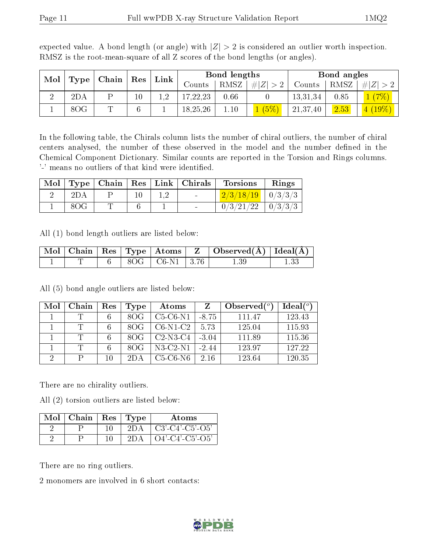| Mol<br>Type |     | Chain | $\operatorname{Res}$ | Link | Bond lengths |      |                  | Bond angles |      |           |
|-------------|-----|-------|----------------------|------|--------------|------|------------------|-------------|------|-----------|
|             |     |       |                      |      | Counts       | RMSZ | # Z <br>$\geq 2$ | Counts      | RMSZ | Z <br>#   |
| ച           | 2DA |       | 10                   | റ    | 17,22,23     | 0.66 |                  | 13,31,34    | 0.85 |           |
|             | 8OG | m     | 6                    |      | 18,25,26     | .10  | $\sqrt{5\%}$     | 21,37,40    | 2.53 | $4(19\%)$ |

expected value. A bond length (or angle) with  $|Z| > 2$  is considered an outlier worth inspection. RMSZ is the root-mean-square of all Z scores of the bond lengths (or angles).

In the following table, the Chirals column lists the number of chiral outliers, the number of chiral centers analysed, the number of these observed in the model and the number defined in the Chemical Component Dictionary. Similar counts are reported in the Torsion and Rings columns. '-' means no outliers of that kind were identified.

| Mol |     |  | $\vert$ Type   Chain   Res   Link   Chirals | <b>Torsions</b>         | Rings |
|-----|-----|--|---------------------------------------------|-------------------------|-------|
|     |     |  | $\sim$ .                                    | $2/3/18/19$   0/3/3/3   |       |
|     | 80G |  |                                             | $0/3/21/22$   $0/3/3/3$ |       |

All (1) bond length outliers are listed below:

|  |  |                    | $\mid$ Mol $\mid$ Chain $\mid$ Res $\mid$ Type $\mid$ Atoms $\mid$ Z $\mid$ Observed(Å) $\mid$ Ideal(Å) $\mid$ |  |
|--|--|--------------------|----------------------------------------------------------------------------------------------------------------|--|
|  |  | 8OG   C6-N1   3.76 |                                                                                                                |  |

All (5) bond angle outliers are listed below:

| Mol | Chain | Res | Type | Atoms      |         | Observed $(°)$ | Ideal $(°)$ |
|-----|-------|-----|------|------------|---------|----------------|-------------|
|     |       |     | 80G  | $C5-C6-N1$ | $-8.75$ | 111.47         | 123.43      |
|     | T     |     | 80G  | $C6-N1-C2$ | 5.73    | 125.04         | 115.93      |
|     | T     |     | 80G  | $C2-N3-C4$ | $-3.04$ | 111.89         | 115.36      |
|     |       |     | 80G  | $N3-C2-N1$ | $-2.44$ | 123.97         | 127.22      |
| ച   |       | 10  |      | C5-C6-N6   | 2.16    | 123.64         | 120.35      |

There are no chirality outliers.

All (2) torsion outliers are listed below:

| Mol | Chain | Res | $\vert$ Type | Atoms              |
|-----|-------|-----|--------------|--------------------|
|     |       |     | 2DA          | $C3'-C4'-C5'-O5'$  |
|     |       |     | 2DA          | $O4'$ -C4'-C5'-O5' |

There are no ring outliers.

2 monomers are involved in 6 short contacts:

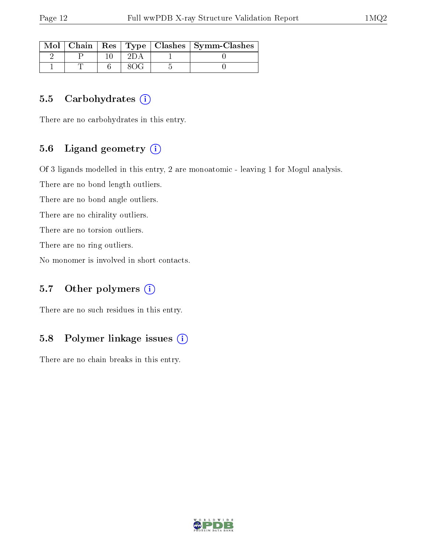| Mol |  |  | Chain   Res   Type   Clashes   Symm-Clashes |
|-----|--|--|---------------------------------------------|
|     |  |  |                                             |
|     |  |  |                                             |

#### 5.5 Carbohydrates  $(i)$

There are no carbohydrates in this entry.

#### 5.6 Ligand geometry (i)

Of 3 ligands modelled in this entry, 2 are monoatomic - leaving 1 for Mogul analysis.

There are no bond length outliers.

There are no bond angle outliers.

There are no chirality outliers.

There are no torsion outliers.

There are no ring outliers.

No monomer is involved in short contacts.

#### 5.7 [O](https://www.wwpdb.org/validation/2017/XrayValidationReportHelp#nonstandard_residues_and_ligands)ther polymers (i)

There are no such residues in this entry.

#### 5.8 Polymer linkage issues (i)

There are no chain breaks in this entry.